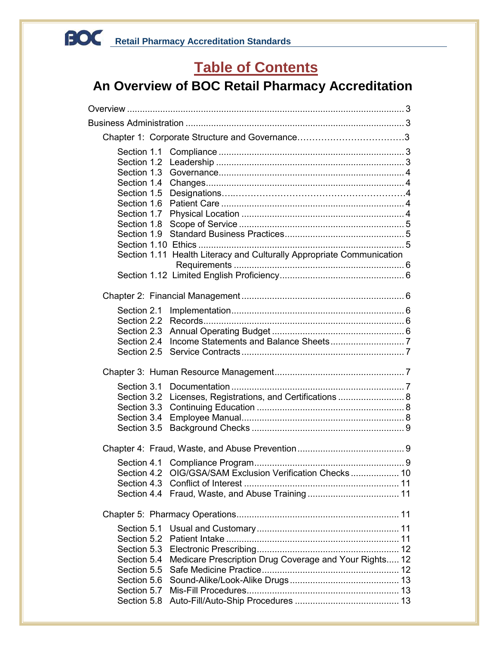### <span id="page-0-0"></span>**Table of Contents**

### **An Overview of BOC Retail Pharmacy Accreditation**

| Section 1.1                |                                                                       |  |
|----------------------------|-----------------------------------------------------------------------|--|
| Section 1.2                |                                                                       |  |
| Section 1.3<br>Section 1.4 |                                                                       |  |
| Section 1.5                |                                                                       |  |
| Section 1.6                |                                                                       |  |
| Section 1.7                |                                                                       |  |
| Section 1.8                |                                                                       |  |
| Section 1.9                |                                                                       |  |
|                            |                                                                       |  |
|                            | Section 1.11 Health Literacy and Culturally Appropriate Communication |  |
|                            |                                                                       |  |
|                            |                                                                       |  |
| Section 2.1                |                                                                       |  |
| Section 2.2                |                                                                       |  |
| Section 2.3                |                                                                       |  |
| Section 2.4                |                                                                       |  |
| Section 2.5                |                                                                       |  |
|                            |                                                                       |  |
| Section 3.1                |                                                                       |  |
| Section 3.2                | Licenses, Registrations, and Certifications  8                        |  |
| Section 3.3                |                                                                       |  |
| Section 3.4                |                                                                       |  |
| Section 3.5                |                                                                       |  |
|                            |                                                                       |  |
|                            |                                                                       |  |
| Section 4.2                | OIG/GSA/SAM Exclusion Verification Checks  10                         |  |
|                            |                                                                       |  |
|                            |                                                                       |  |
|                            |                                                                       |  |
| Section 5.1                |                                                                       |  |
| Section 5.2                |                                                                       |  |
|                            |                                                                       |  |
|                            | Section 5.4 Medicare Prescription Drug Coverage and Your Rights 12    |  |
|                            |                                                                       |  |
| Section 5.6<br>Section 5.7 |                                                                       |  |
| Section 5.8                |                                                                       |  |
|                            |                                                                       |  |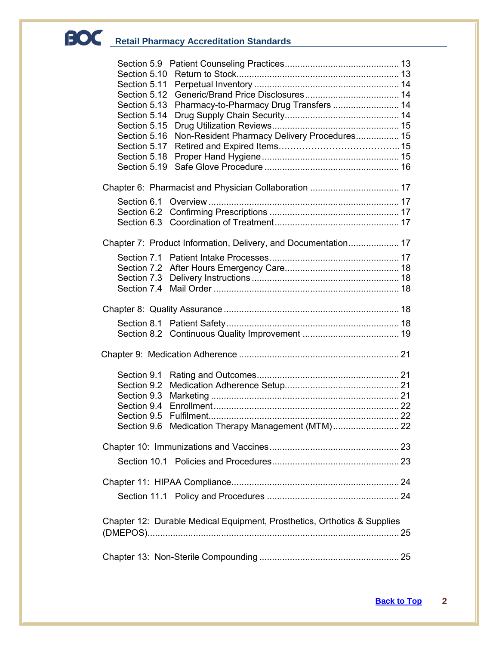| Section 5.11 |                                                                          |  |
|--------------|--------------------------------------------------------------------------|--|
| Section 5.12 |                                                                          |  |
| Section 5.13 | Pharmacy-to-Pharmacy Drug Transfers  14                                  |  |
| Section 5.14 |                                                                          |  |
| Section 5.15 |                                                                          |  |
| Section 5.16 | Non-Resident Pharmacy Delivery Procedures 15                             |  |
| Section 5.17 |                                                                          |  |
| Section 5.18 |                                                                          |  |
| Section 5.19 |                                                                          |  |
|              |                                                                          |  |
|              |                                                                          |  |
|              |                                                                          |  |
|              |                                                                          |  |
|              |                                                                          |  |
|              | Chapter 7: Product Information, Delivery, and Documentation 17           |  |
|              |                                                                          |  |
|              |                                                                          |  |
|              |                                                                          |  |
|              |                                                                          |  |
|              |                                                                          |  |
|              |                                                                          |  |
|              |                                                                          |  |
|              |                                                                          |  |
|              |                                                                          |  |
|              |                                                                          |  |
|              |                                                                          |  |
| Section 9.1  |                                                                          |  |
| Section 9.2  |                                                                          |  |
|              |                                                                          |  |
|              |                                                                          |  |
|              |                                                                          |  |
|              | Section 9.6 Medication Therapy Management (MTM) 22                       |  |
|              |                                                                          |  |
|              |                                                                          |  |
|              |                                                                          |  |
|              |                                                                          |  |
|              |                                                                          |  |
|              |                                                                          |  |
|              | Chapter 12: Durable Medical Equipment, Prosthetics, Orthotics & Supplies |  |
|              |                                                                          |  |
|              |                                                                          |  |
|              |                                                                          |  |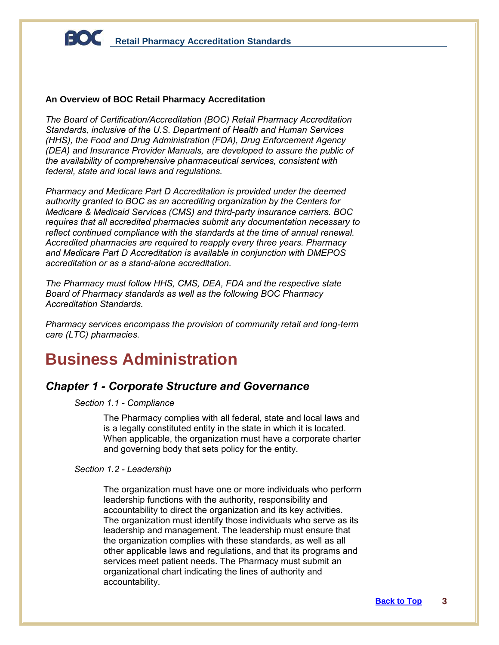### **An Overview of BOC Retail Pharmacy Accreditation**

*The Board of Certification/Accreditation (BOC) Retail Pharmacy Accreditation Standards, inclusive of the U.S. Department of Health and Human Services (HHS), the Food and Drug Administration (FDA), Drug Enforcement Agency (DEA) and Insurance Provider Manuals, are developed to assure the public of the availability of comprehensive pharmaceutical services, consistent with federal, state and local laws and regulations.*

*Pharmacy and Medicare Part D Accreditation is provided under the deemed authority granted to BOC as an accrediting organization by the Centers for Medicare & Medicaid Services (CMS) and third-party insurance carriers. BOC requires that all accredited pharmacies submit any documentation necessary to reflect continued compliance with the standards at the time of annual renewal. Accredited pharmacies are required to reapply every three years. Pharmacy and Medicare Part D Accreditation is available in conjunction with DMEPOS accreditation or as a stand-alone accreditation.*

*The Pharmacy must follow HHS, CMS, DEA, FDA and the respective state Board of Pharmacy standards as well as the following BOC Pharmacy Accreditation Standards.* 

*Pharmacy services encompass the provision of community retail and long-term care (LTC) pharmacies.*

### **Business Administration**

### *Chapter 1 - Corporate Structure and Governance*

*Section 1.1 - Compliance*

The Pharmacy complies with all federal, state and local laws and is a legally constituted entity in the state in which it is located. When applicable, the organization must have a corporate charter and governing body that sets policy for the entity.

#### *Section 1.2 - Leadership*

The organization must have one or more individuals who perform leadership functions with the authority, responsibility and accountability to direct the organization and its key activities. The organization must identify those individuals who serve as its leadership and management. The leadership must ensure that the organization complies with these standards, as well as all other applicable laws and regulations, and that its programs and services meet patient needs. The Pharmacy must submit an organizational chart indicating the lines of authority and accountability.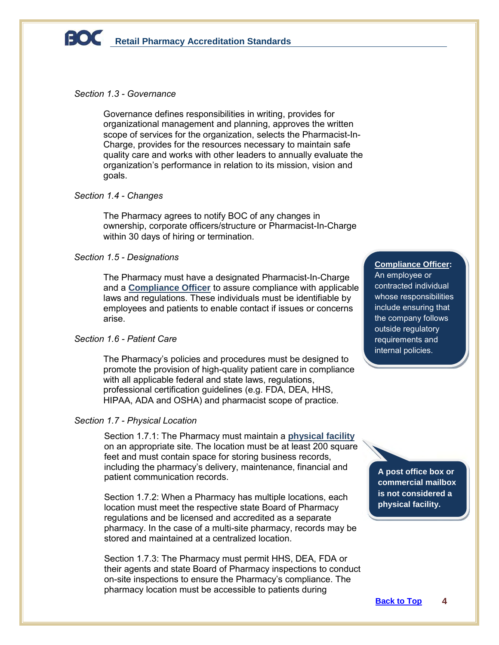

### *Section 1.3 - Governance*

Governance defines responsibilities in writing, provides for organizational management and planning, approves the written scope of services for the organization, selects the Pharmacist-In-Charge, provides for the resources necessary to maintain safe quality care and works with other leaders to annually evaluate the organization's performance in relation to its mission, vision and goals.

### *Section 1.4 - Changes*

The Pharmacy agrees to notify BOC of any changes in ownership, corporate officers/structure or Pharmacist-In-Charge within 30 days of hiring or termination.

### *Section 1.5 - Designations*

The Pharmacy must have a designated Pharmacist-In-Charge and a **Compliance Officer** to assure compliance with applicable laws and regulations. These individuals must be identifiable by employees and patients to enable contact if issues or concerns arise.

### *Section 1.6 - Patient Care*

The Pharmacy's policies and procedures must be designed to promote the provision of high-quality patient care in compliance with all applicable federal and state laws, regulations, professional certification guidelines (e.g. FDA, DEA, HHS, HIPAA, ADA and OSHA) and pharmacist scope of practice.

### *Section 1.7 - Physical Location*

Section 1.7.1: The Pharmacy must maintain a **physical facility** on an appropriate site. The location must be at least 200 square feet and must contain space for storing business records, including the pharmacy's delivery, maintenance, financial and patient communication records.

Section 1.7.2: When a Pharmacy has multiple locations, each location must meet the respective state Board of Pharmacy regulations and be licensed and accredited as a separate pharmacy. In the case of a multi-site pharmacy, records may be stored and maintained at a centralized location.

Section 1.7.3: The Pharmacy must permit HHS, DEA, FDA or their agents and state Board of Pharmacy inspections to conduct on-site inspections to ensure the Pharmacy's compliance. The pharmacy location must be accessible to patients during

**Compliance Officer:** An employee or

contracted individual whose responsibilities include ensuring that the company follows outside regulatory requirements and internal policies.

**A post office box or commercial mailbox is not considered a physical facility.**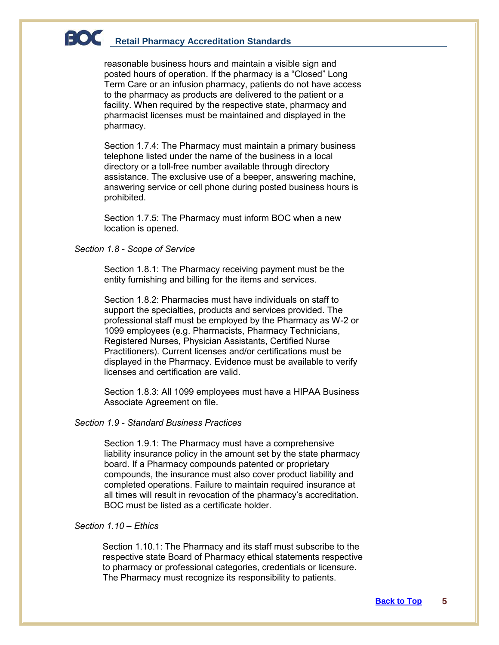reasonable business hours and maintain a visible sign and posted hours of operation. If the pharmacy is a "Closed" Long Term Care or an infusion pharmacy, patients do not have access to the pharmacy as products are delivered to the patient or a facility. When required by the respective state, pharmacy and pharmacist licenses must be maintained and displayed in the pharmacy.

Section 1.7.4: The Pharmacy must maintain a primary business telephone listed under the name of the business in a local directory or a toll-free number available through directory assistance. The exclusive use of a beeper, answering machine, answering service or cell phone during posted business hours is prohibited.

Section 1.7.5: The Pharmacy must inform BOC when a new location is opened.

### *Section 1.8 - Scope of Service*

Section 1.8.1: The Pharmacy receiving payment must be the entity furnishing and billing for the items and services.

Section 1.8.2: Pharmacies must have individuals on staff to support the specialties, products and services provided. The professional staff must be employed by the Pharmacy as W-2 or 1099 employees (e.g. Pharmacists, Pharmacy Technicians, Registered Nurses, Physician Assistants, Certified Nurse Practitioners). Current licenses and/or certifications must be displayed in the Pharmacy. Evidence must be available to verify licenses and certification are valid.

Section 1.8.3: All 1099 employees must have a HIPAA Business Associate Agreement on file.

### *Section 1.9 - Standard Business Practices*

Section 1.9.1: The Pharmacy must have a comprehensive liability insurance policy in the amount set by the state pharmacy board. If a Pharmacy compounds patented or proprietary compounds, the insurance must also cover product liability and completed operations. Failure to maintain required insurance at all times will result in revocation of the pharmacy's accreditation. BOC must be listed as a certificate holder.

### *Section 1.10 – Ethics*

Section 1.10.1: The Pharmacy and its staff must subscribe to the respective state Board of Pharmacy ethical statements respective to pharmacy or professional categories, credentials or licensure. The Pharmacy must recognize its responsibility to patients.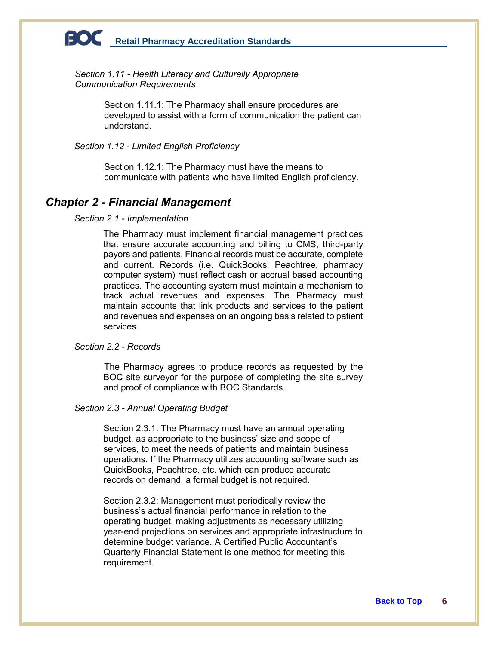

*Section 1.11 - Health Literacy and Culturally Appropriate Communication Requirements*

> Section 1.11.1: The Pharmacy shall ensure procedures are developed to assist with a form of communication the patient can understand.

*Section 1.12 - Limited English Proficiency*

Section 1.12.1: The Pharmacy must have the means to communicate with patients who have limited English proficiency.

### *Chapter 2 - Financial Management*

#### *Section 2.1 - Implementation*

The Pharmacy must implement financial management practices that ensure accurate accounting and billing to CMS, third-party payors and patients. Financial records must be accurate, complete and current. Records (i.e. QuickBooks, Peachtree, pharmacy computer system) must reflect cash or accrual based accounting practices. The accounting system must maintain a mechanism to track actual revenues and expenses. The Pharmacy must maintain accounts that link products and services to the patient and revenues and expenses on an ongoing basis related to patient services.

### *Section 2.2 - Records*

The Pharmacy agrees to produce records as requested by the BOC site surveyor for the purpose of completing the site survey and proof of compliance with BOC Standards.

### *Section 2.3 - Annual Operating Budget*

Section 2.3.1: The Pharmacy must have an annual operating budget, as appropriate to the business' size and scope of services, to meet the needs of patients and maintain business operations. If the Pharmacy utilizes accounting software such as QuickBooks, Peachtree, etc. which can produce accurate records on demand, a formal budget is not required.

Section 2.3.2: Management must periodically review the business's actual financial performance in relation to the operating budget, making adjustments as necessary utilizing year-end projections on services and appropriate infrastructure to determine budget variance. A Certified Public Accountant's Quarterly Financial Statement is one method for meeting this requirement.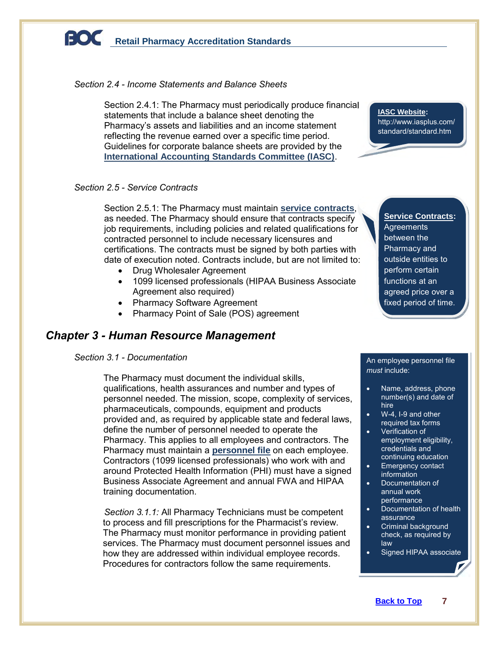### *Section 2.4 - Income Statements and Balance Sheets*

Section 2.4.1: The Pharmacy must periodically produce financial **Constant Constant Constant Constant Constant Constant Constant Constant Constant Constant Constant Constant Constant Constant Constant Constant Constant Cons** statements that include a balance sheet denoting the Pharmacy's assets and liabilities and an income statement reflecting the revenue earned over a specific time period. Guidelines for corporate balance sheets are provided by the **International Accounting Standards Committee (IASC)**.

### *Section 2.5 - Service Contracts*

Section 2.5.1: The Pharmacy must maintain **service contracts**, as needed. The Pharmacy should ensure that contracts specify job requirements, including policies and related qualifications for contracted personnel to include necessary licensures and certifications. The contracts must be signed by both parties with date of execution noted. Contracts include, but are not limited to:

- Drug Wholesaler Agreement
- 1099 licensed professionals (HIPAA Business Associate Agreement also required)
- Pharmacy Software Agreement
- Pharmacy Point of Sale (POS) agreement

### *Chapter 3 - Human Resource Management*

### *Section 3.1 - Documentation*

The Pharmacy must document the individual skills, qualifications, health assurances and number and types of personnel needed. The mission, scope, complexity of services, pharmaceuticals, compounds, equipment and products provided and, as required by applicable state and federal laws, define the number of personnel needed to operate the Pharmacy. This applies to all employees and contractors. The Pharmacy must maintain a **personnel file** on each employee. Contractors (1099 licensed professionals) who work with and around Protected Health Information (PHI) must have a signed Business Associate Agreement and annual FWA and HIPAA training documentation.

 *Section 3.1.1:* All Pharmacy Technicians must be competent to process and fill prescriptions for the Pharmacist's review. The Pharmacy must monitor performance in providing patient services. The Pharmacy must document personnel issues and how they are addressed within individual employee records. Procedures for contractors follow the same requirements.

http://www.iasplus.com/ standard/standard.htm

gov

**Service Contracts: Agreements** between the Pharmacy and outside entities to perform certain functions at an agreed price over a fixed period of time.

#### An employee personnel file *must* include:

- Name, address, phone number(s) and date of hire
- W-4, I-9 and other required tax forms
- Verification of employment eligibility, credentials and continuing education
- **Emergency contact** information
- **Documentation of** annual work performance
- Documentation of health assurance
- Criminal background check, as required by law
- Signed HIPAA associate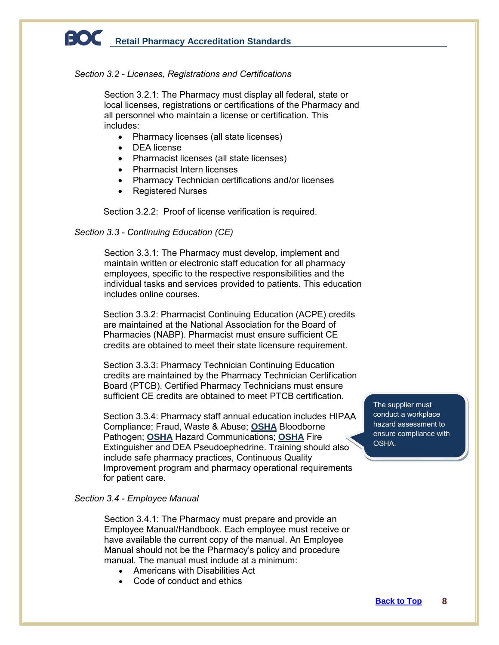### *Section 3.2 - Licenses, Registrations and Certifications*

Section 3.2.1: The Pharmacy must display all federal, state or local licenses, registrations or certifications of the Pharmacy and all personnel who maintain a license or certification. This includes:

- Pharmacy licenses (all state licenses)
- DEA license
- Pharmacist licenses (all state licenses)
- Pharmacist Intern licenses
- Pharmacy Technician certifications and/or licenses
- Registered Nurses

Section 3.2.2: Proof of license verification is required.

### *Section 3.3 - Continuing Education (CE)*

Section 3.3.1: The Pharmacy must develop, implement and maintain written or electronic staff education for all pharmacy employees, specific to the respective responsibilities and the individual tasks and services provided to patients. This education includes online courses.

Section 3.3.2: Pharmacist Continuing Education (ACPE) credits are maintained at the National Association for the Board of Pharmacies (NABP). Pharmacist must ensure sufficient CE credits are obtained to meet their state licensure requirement.

Section 3.3.3: Pharmacy Technician Continuing Education credits are maintained by the Pharmacy Technician Certification Board (PTCB). Certified Pharmacy Technicians must ensure sufficient CE credits are obtained to meet PTCB certification.

Section 3.3.4: Pharmacy staff annual education includes HIPAA Compliance; Fraud, Waste & Abuse; **OSHA** Bloodborne Pathogen; **OSHA** Hazard Communications; **OSHA** Fire Extinguisher and DEA Pseudoephedrine. Training should also include safe pharmacy practices, Continuous Quality Improvement program and pharmacy operational requirements for patient care.

### *Section 3.4 - Employee Manual*

Section 3.4.1: The Pharmacy must prepare and provide an Employee Manual/Handbook. Each employee must receive or have available the current copy of the manual. An Employee Manual should not be the Pharmacy's policy and procedure manual. The manual must include at a minimum:

- Americans with Disabilities Act
- Code of conduct and ethics

The supplier must conduct a workplace hazard assessment to ensure compliance with OSHA.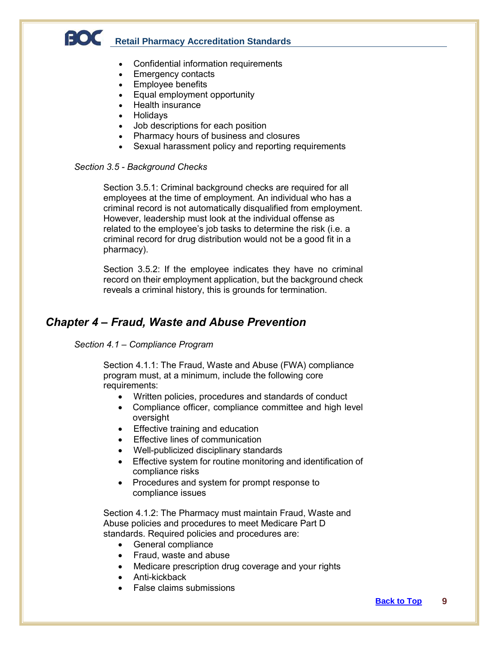- Confidential information requirements
- Emergency contacts
- Employee benefits
- Equal employment opportunity
- Health insurance
- Holidays
- Job descriptions for each position
- Pharmacy hours of business and closures
- Sexual harassment policy and reporting requirements

### *Section 3.5 - Background Checks*

Section 3.5.1: Criminal background checks are required for all employees at the time of employment. An individual who has a criminal record is not automatically disqualified from employment. However, leadership must look at the individual offense as related to the employee's job tasks to determine the risk (i.e. a criminal record for drug distribution would not be a good fit in a pharmacy).

Section 3.5.2: If the employee indicates they have no criminal record on their employment application, but the background check reveals a criminal history, this is grounds for termination.

### *Chapter 4 – Fraud, Waste and Abuse Prevention*

### *Section 4.1 – Compliance Program*

Section 4.1.1: The Fraud, Waste and Abuse (FWA) compliance program must, at a minimum, include the following core requirements:

- Written policies, procedures and standards of conduct
- Compliance officer, compliance committee and high level oversight
- Effective training and education
- Effective lines of communication
- Well-publicized disciplinary standards
- Effective system for routine monitoring and identification of compliance risks
- Procedures and system for prompt response to compliance issues

Section 4.1.2: The Pharmacy must maintain Fraud, Waste and Abuse policies and procedures to meet Medicare Part D standards. Required policies and procedures are:

- General compliance
- Fraud, waste and abuse
- Medicare prescription drug coverage and your rights
- Anti-kickback
- False claims submissions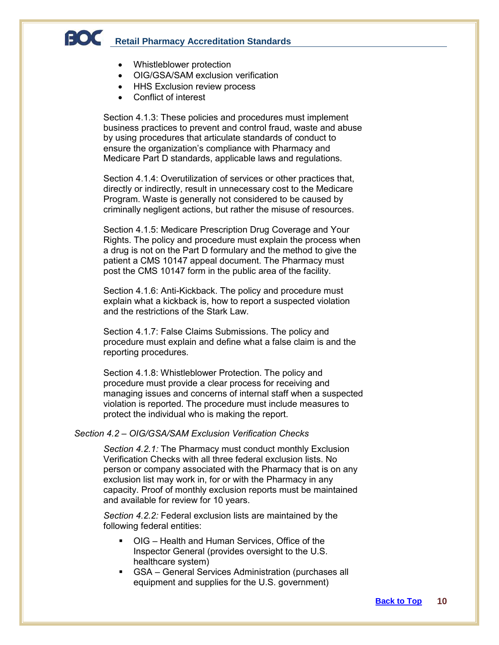- Whistleblower protection
- OIG/GSA/SAM exclusion verification
- **HHS Exclusion review process**
- Conflict of interest

Section 4.1.3: These policies and procedures must implement business practices to prevent and control fraud, waste and abuse by using procedures that articulate standards of conduct to ensure the organization's compliance with Pharmacy and Medicare Part D standards, applicable laws and regulations.

Section 4.1.4: Overutilization of services or other practices that, directly or indirectly, result in unnecessary cost to the Medicare Program. Waste is generally not considered to be caused by criminally negligent actions, but rather the misuse of resources.

Section 4.1.5: Medicare Prescription Drug Coverage and Your Rights. The policy and procedure must explain the process when a drug is not on the Part D formulary and the method to give the patient a CMS 10147 appeal document. The Pharmacy must post the CMS 10147 form in the public area of the facility.

Section 4.1.6: Anti-Kickback. The policy and procedure must explain what a kickback is, how to report a suspected violation and the restrictions of the Stark Law.

Section 4.1.7: False Claims Submissions. The policy and procedure must explain and define what a false claim is and the reporting procedures.

Section 4.1.8: Whistleblower Protection. The policy and procedure must provide a clear process for receiving and managing issues and concerns of internal staff when a suspected violation is reported. The procedure must include measures to protect the individual who is making the report.

#### *Section 4.2 – OIG/GSA/SAM Exclusion Verification Checks*

*Section 4.2.1:* The Pharmacy must conduct monthly Exclusion Verification Checks with all three federal exclusion lists. No person or company associated with the Pharmacy that is on any exclusion list may work in, for or with the Pharmacy in any capacity. Proof of monthly exclusion reports must be maintained and available for review for 10 years.

*Section 4.2.2:* Federal exclusion lists are maintained by the following federal entities:

- OIG Health and Human Services, Office of the Inspector General (provides oversight to the U.S. healthcare system)
- GSA General Services Administration (purchases all equipment and supplies for the U.S. government)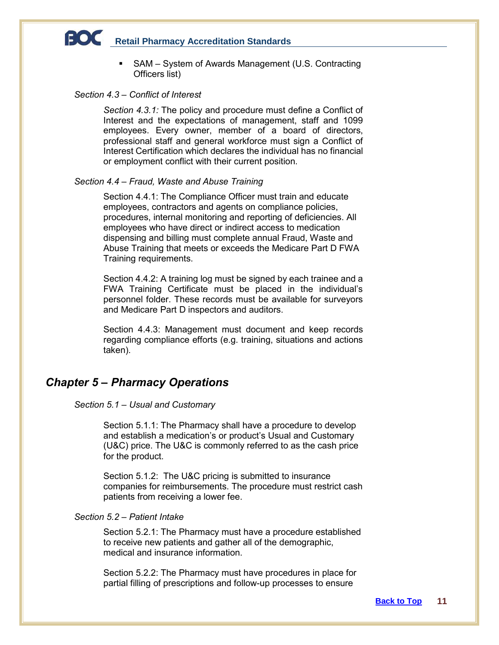■ SAM – System of Awards Management (U.S. Contracting Officers list)

### *Section 4.3 – Conflict of Interest*

*Section 4.3.1:* The policy and procedure must define a Conflict of Interest and the expectations of management, staff and 1099 employees. Every owner, member of a board of directors, professional staff and general workforce must sign a Conflict of Interest Certification which declares the individual has no financial or employment conflict with their current position.

### *Section 4.4 – Fraud, Waste and Abuse Training*

Section 4.4.1: The Compliance Officer must train and educate employees, contractors and agents on compliance policies, procedures, internal monitoring and reporting of deficiencies. All employees who have direct or indirect access to medication dispensing and billing must complete annual Fraud, Waste and Abuse Training that meets or exceeds the Medicare Part D FWA Training requirements.

Section 4.4.2: A training log must be signed by each trainee and a FWA Training Certificate must be placed in the individual's personnel folder. These records must be available for surveyors and Medicare Part D inspectors and auditors.

Section 4.4.3: Management must document and keep records regarding compliance efforts (e.g. training, situations and actions taken).

### *Chapter 5 – Pharmacy Operations*

### *Section 5.1 – Usual and Customary*

Section 5.1.1: The Pharmacy shall have a procedure to develop and establish a medication's or product's Usual and Customary (U&C) price. The U&C is commonly referred to as the cash price for the product.

Section 5.1.2: The U&C pricing is submitted to insurance companies for reimbursements. The procedure must restrict cash patients from receiving a lower fee.

### *Section 5.2 – Patient Intake*

Section 5.2.1: The Pharmacy must have a procedure established to receive new patients and gather all of the demographic, medical and insurance information.

Section 5.2.2: The Pharmacy must have procedures in place for partial filling of prescriptions and follow-up processes to ensure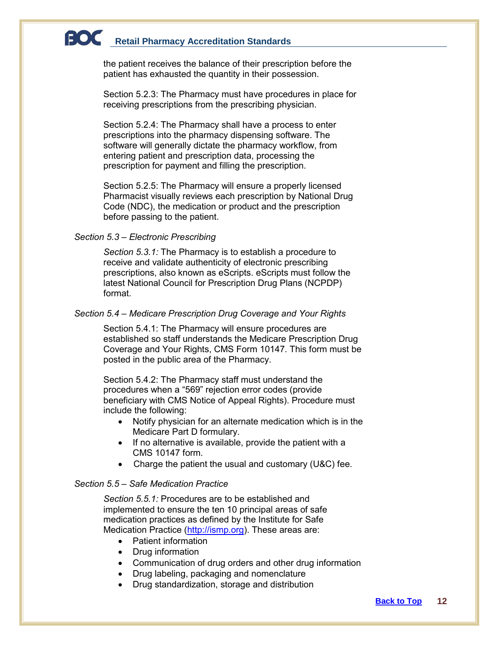the patient receives the balance of their prescription before the patient has exhausted the quantity in their possession.

Section 5.2.3: The Pharmacy must have procedures in place for receiving prescriptions from the prescribing physician.

Section 5.2.4: The Pharmacy shall have a process to enter prescriptions into the pharmacy dispensing software. The software will generally dictate the pharmacy workflow, from entering patient and prescription data, processing the prescription for payment and filling the prescription.

Section 5.2.5: The Pharmacy will ensure a properly licensed Pharmacist visually reviews each prescription by National Drug Code (NDC), the medication or product and the prescription before passing to the patient.

### *Section 5.3 – Electronic Prescribing*

*Section 5.3.1:* The Pharmacy is to establish a procedure to receive and validate authenticity of electronic prescribing prescriptions, also known as eScripts. eScripts must follow the latest National Council for Prescription Drug Plans (NCPDP) format.

### *Section 5.4 – Medicare Prescription Drug Coverage and Your Rights*

Section 5.4.1: The Pharmacy will ensure procedures are established so staff understands the Medicare Prescription Drug Coverage and Your Rights, CMS Form 10147. This form must be posted in the public area of the Pharmacy.

Section 5.4.2: The Pharmacy staff must understand the procedures when a "569" rejection error codes (provide beneficiary with CMS Notice of Appeal Rights). Procedure must include the following:

- Notify physician for an alternate medication which is in the Medicare Part D formulary.
- If no alternative is available, provide the patient with a CMS 10147 form.
- Charge the patient the usual and customary (U&C) fee.

### *Section 5.5 – Safe Medication Practice*

*Section 5.5.1:* Procedures are to be established and implemented to ensure the ten 10 principal areas of safe medication practices as defined by the Institute for Safe Medication Practice [\(http://ismp.org\)](http://ismp.org/). These areas are:

- Patient information
- Drug information
- Communication of drug orders and other drug information
- Drug labeling, packaging and nomenclature
- Drug standardization, storage and distribution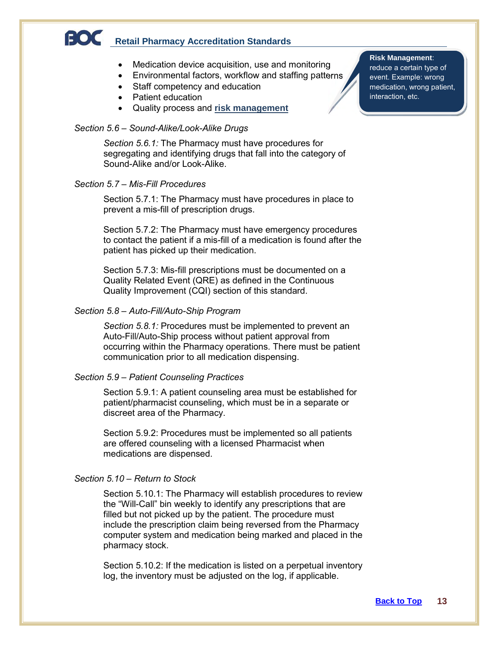- Medication device acquisition, use and monitoring
- Medication device acquisition, use and monitoring<br>● Environmental factors, workflow and staffing patterns
- Staff competency and education
- Patient education
- Quality process and **risk management**

### *Section 5.6 – Sound-Alike/Look-Alike Drugs*

*Section 5.6.1:* The Pharmacy must have procedures for segregating and identifying drugs that fall into the category of Sound-Alike and/or Look-Alike.

### *Section 5.7 – Mis-Fill Procedures*

Section 5.7.1: The Pharmacy must have procedures in place to prevent a mis-fill of prescription drugs.

Section 5.7.2: The Pharmacy must have emergency procedures to contact the patient if a mis-fill of a medication is found after the patient has picked up their medication.

Section 5.7.3: Mis-fill prescriptions must be documented on a Quality Related Event (QRE) as defined in the Continuous Quality Improvement (CQI) section of this standard.

#### *Section 5.8 – Auto-Fill/Auto-Ship Program*

*Section 5.8.1:* Procedures must be implemented to prevent an Auto-Fill/Auto-Ship process without patient approval from occurring within the Pharmacy operations. There must be patient communication prior to all medication dispensing.

### *Section 5.9 – Patient Counseling Practices*

Section 5.9.1: A patient counseling area must be established for patient/pharmacist counseling, which must be in a separate or discreet area of the Pharmacy.

Section 5.9.2: Procedures must be implemented so all patients are offered counseling with a licensed Pharmacist when medications are dispensed.

### *Section 5.10 – Return to Stock*

Section 5.10.1: The Pharmacy will establish procedures to review the "Will-Call" bin weekly to identify any prescriptions that are filled but not picked up by the patient. The procedure must include the prescription claim being reversed from the Pharmacy computer system and medication being marked and placed in the pharmacy stock.

Section 5.10.2: If the medication is listed on a perpetual inventory log, the inventory must be adjusted on the log, if applicable.

### **Risk Management**:

reduce a certain type of event. Example: wrong medication, wrong patient, interaction, etc.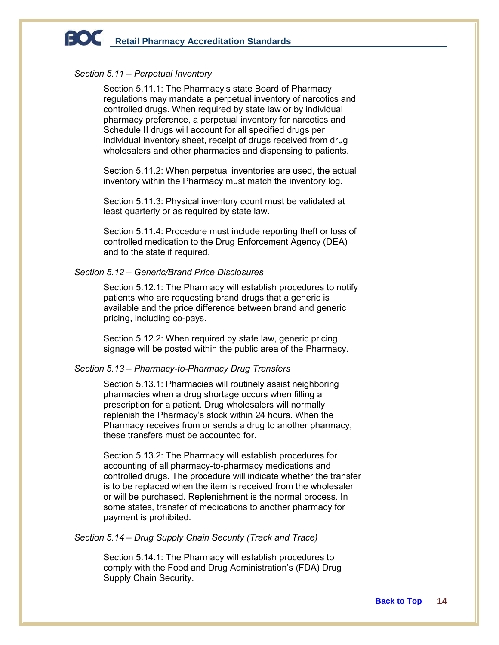#### *Section 5.11 – Perpetual Inventory*

Section 5.11.1: The Pharmacy's state Board of Pharmacy regulations may mandate a perpetual inventory of narcotics and controlled drugs. When required by state law or by individual pharmacy preference, a perpetual inventory for narcotics and Schedule II drugs will account for all specified drugs per individual inventory sheet, receipt of drugs received from drug wholesalers and other pharmacies and dispensing to patients.

Section 5.11.2: When perpetual inventories are used, the actual inventory within the Pharmacy must match the inventory log.

Section 5.11.3: Physical inventory count must be validated at least quarterly or as required by state law.

Section 5.11.4: Procedure must include reporting theft or loss of controlled medication to the Drug Enforcement Agency (DEA) and to the state if required.

### *Section 5.12 – Generic/Brand Price Disclosures*

Section 5.12.1: The Pharmacy will establish procedures to notify patients who are requesting brand drugs that a generic is available and the price difference between brand and generic pricing, including co-pays.

Section 5.12.2: When required by state law, generic pricing signage will be posted within the public area of the Pharmacy.

### *Section 5.13 – Pharmacy-to-Pharmacy Drug Transfers*

Section 5.13.1: Pharmacies will routinely assist neighboring pharmacies when a drug shortage occurs when filling a prescription for a patient. Drug wholesalers will normally replenish the Pharmacy's stock within 24 hours. When the Pharmacy receives from or sends a drug to another pharmacy, these transfers must be accounted for.

Section 5.13.2: The Pharmacy will establish procedures for accounting of all pharmacy-to-pharmacy medications and controlled drugs. The procedure will indicate whether the transfer is to be replaced when the item is received from the wholesaler or will be purchased. Replenishment is the normal process. In some states, transfer of medications to another pharmacy for payment is prohibited.

### *Section 5.14 – Drug Supply Chain Security (Track and Trace)*

Section 5.14.1: The Pharmacy will establish procedures to comply with the Food and Drug Administration's (FDA) Drug Supply Chain Security.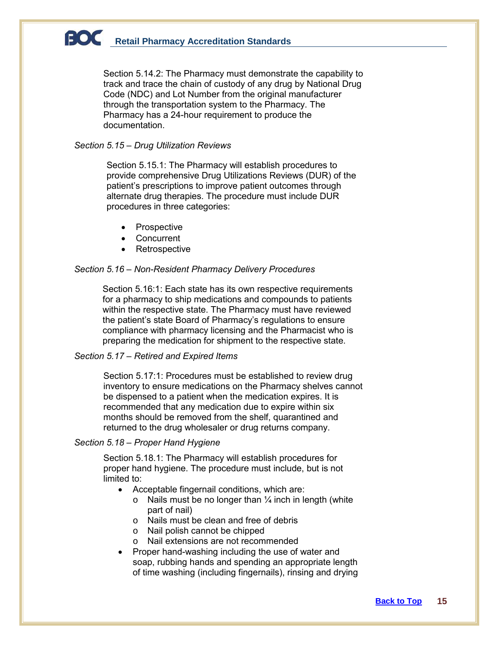Section 5.14.2: The Pharmacy must demonstrate the capability to track and trace the chain of custody of any drug by National Drug Code (NDC) and Lot Number from the original manufacturer through the transportation system to the Pharmacy. The Pharmacy has a 24-hour requirement to produce the documentation.

### *Section 5.15 – Drug Utilization Reviews*

Section 5.15.1: The Pharmacy will establish procedures to provide comprehensive Drug Utilizations Reviews (DUR) of the patient's prescriptions to improve patient outcomes through alternate drug therapies. The procedure must include DUR procedures in three categories:

- Prospective
- Concurrent
- Retrospective

### *Section 5.16 – Non-Resident Pharmacy Delivery Procedures*

Section 5.16:1: Each state has its own respective requirements for a pharmacy to ship medications and compounds to patients within the respective state. The Pharmacy must have reviewed the patient's state Board of Pharmacy's regulations to ensure compliance with pharmacy licensing and the Pharmacist who is preparing the medication for shipment to the respective state.

### *Section 5.17 – Retired and Expired Items*

Section 5.17:1: Procedures must be established to review drug inventory to ensure medications on the Pharmacy shelves cannot be dispensed to a patient when the medication expires. It is recommended that any medication due to expire within six months should be removed from the shelf, quarantined and returned to the drug wholesaler or drug returns company.

### *Section 5.18 – Proper Hand Hygiene*

Section 5.18.1: The Pharmacy will establish procedures for proper hand hygiene. The procedure must include, but is not limited to:

- Acceptable fingernail conditions, which are:
	- $\circ$  Nails must be no longer than  $\frac{1}{4}$  inch in length (white part of nail)
	- o Nails must be clean and free of debris
	- o Nail polish cannot be chipped
	- o Nail extensions are not recommended
- Proper hand-washing including the use of water and soap, rubbing hands and spending an appropriate length of time washing (including fingernails), rinsing and drying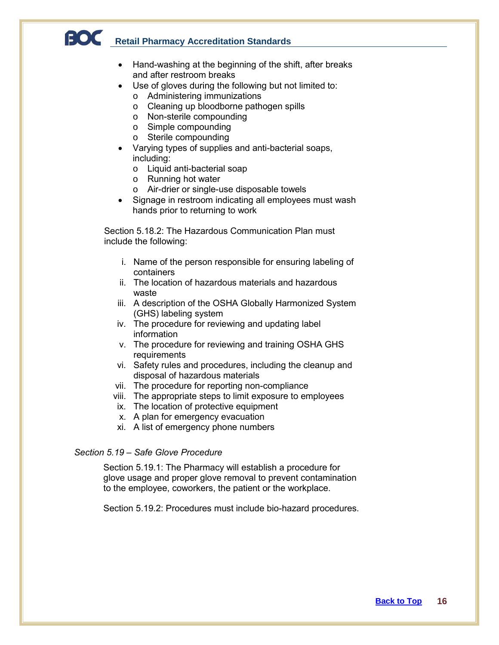- Hand-washing at the beginning of the shift, after breaks and after restroom breaks
- Use of gloves during the following but not limited to:
	- o Administering immunizations
	- o Cleaning up bloodborne pathogen spills
	- o Non-sterile compounding
	- o Simple compounding
	- o Sterile compounding
- Varying types of supplies and anti-bacterial soaps, including:
	- o Liquid anti-bacterial soap
	- o Running hot water
	- o Air-drier or single-use disposable towels
- Signage in restroom indicating all employees must wash hands prior to returning to work

Section 5.18.2: The Hazardous Communication Plan must include the following:

- i. Name of the person responsible for ensuring labeling of containers
- ii. The location of hazardous materials and hazardous waste
- iii. A description of the OSHA Globally Harmonized System (GHS) labeling system
- iv. The procedure for reviewing and updating label information
- v. The procedure for reviewing and training OSHA GHS **requirements**
- vi. Safety rules and procedures, including the cleanup and disposal of hazardous materials
- vii. The procedure for reporting non-compliance
- viii. The appropriate steps to limit exposure to employees
- ix. The location of protective equipment
- x. A plan for emergency evacuation
- xi. A list of emergency phone numbers

### *Section 5.19 – Safe Glove Procedure*

Section 5.19.1: The Pharmacy will establish a procedure for glove usage and proper glove removal to prevent contamination to the employee, coworkers, the patient or the workplace.

Section 5.19.2: Procedures must include bio-hazard procedures.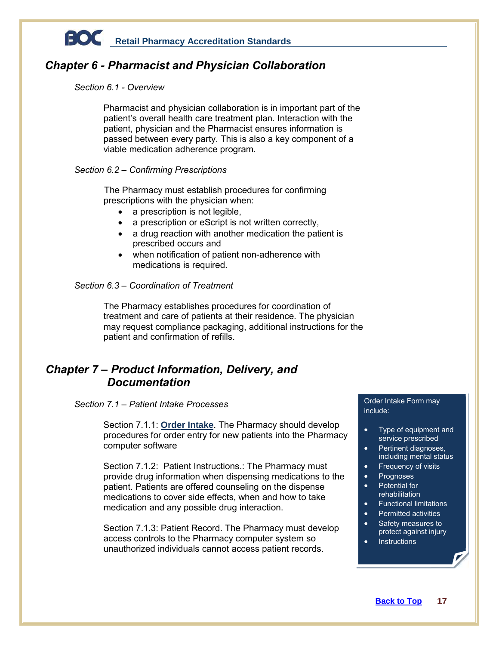

### *Chapter 6 - Pharmacist and Physician Collaboration*

### *Section 6.1 - Overview*

Pharmacist and physician collaboration is in important part of the patient's overall health care treatment plan. Interaction with the patient, physician and the Pharmacist ensures information is passed between every party. This is also a key component of a viable medication adherence program.

### *Section 6.2 – Confirming Prescriptions*

The Pharmacy must establish procedures for confirming prescriptions with the physician when:

- a prescription is not legible,
- a prescription or eScript is not written correctly,
- a drug reaction with another medication the patient is prescribed occurs and
- when notification of patient non-adherence with medications is required.

### *Section 6.3 – Coordination of Treatment*

The Pharmacy establishes procedures for coordination of treatment and care of patients at their residence. The physician may request compliance packaging, additional instructions for the patient and confirmation of refills.

### *Chapter 7 – Product Information, Delivery, and Documentation*

### *Section 7.1 – Patient Intake Processes*

Section 7.1.1: **Order Intake**. The Pharmacy should develop procedures for order entry for new patients into the Pharmacy computer software

Section 7.1.2: Patient Instructions.: The Pharmacy must provide drug information when dispensing medications to the patient. Patients are offered counseling on the dispense medications to cover side effects, when and how to take medication and any possible drug interaction.

Section 7.1.3: Patient Record. The Pharmacy must develop access controls to the Pharmacy computer system so unauthorized individuals cannot access patient records.

#### Order Intake Form may include:

- Type of equipment and service prescribed
- Pertinent diagnoses, including mental status
- Frequency of visits
- Prognoses
- Potential for rehabilitation
- Functional limitations
- Permitted activities
- Safety measures to protect against injury
- **Instructions**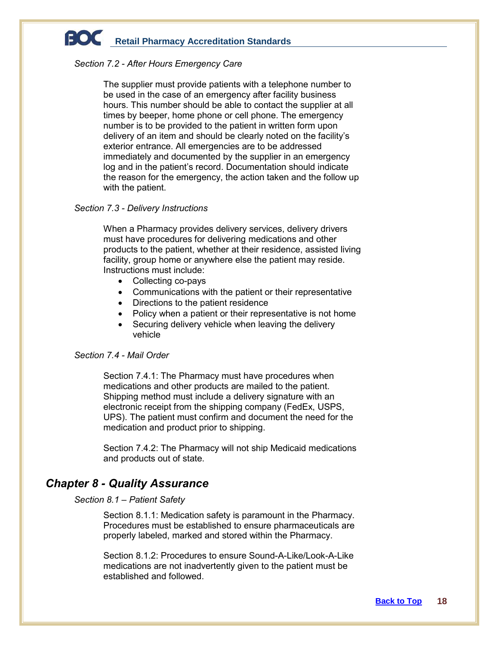#### *Section 7.2 - After Hours Emergency Care*

The supplier must provide patients with a telephone number to be used in the case of an emergency after facility business hours. This number should be able to contact the supplier at all times by beeper, home phone or cell phone. The emergency number is to be provided to the patient in written form upon delivery of an item and should be clearly noted on the facility's exterior entrance. All emergencies are to be addressed immediately and documented by the supplier in an emergency log and in the patient's record. Documentation should indicate the reason for the emergency, the action taken and the follow up with the patient.

#### *Section 7.3 - Delivery Instructions*

When a Pharmacy provides delivery services, delivery drivers must have procedures for delivering medications and other products to the patient, whether at their residence, assisted living facility, group home or anywhere else the patient may reside. Instructions must include:

- Collecting co-pays
- Communications with the patient or their representative
- Directions to the patient residence
- Policy when a patient or their representative is not home
- Securing delivery vehicle when leaving the delivery vehicle

### *Section 7.4 - Mail Order*

Section 7.4.1: The Pharmacy must have procedures when medications and other products are mailed to the patient. Shipping method must include a delivery signature with an electronic receipt from the shipping company (FedEx, USPS, UPS). The patient must confirm and document the need for the medication and product prior to shipping.

Section 7.4.2: The Pharmacy will not ship Medicaid medications and products out of state.

### *Chapter 8 - Quality Assurance*

### *Section 8.1 – Patient Safety*

Section 8.1.1: Medication safety is paramount in the Pharmacy. Procedures must be established to ensure pharmaceuticals are properly labeled, marked and stored within the Pharmacy.

Section 8.1.2: Procedures to ensure Sound-A-Like/Look-A-Like medications are not inadvertently given to the patient must be established and followed.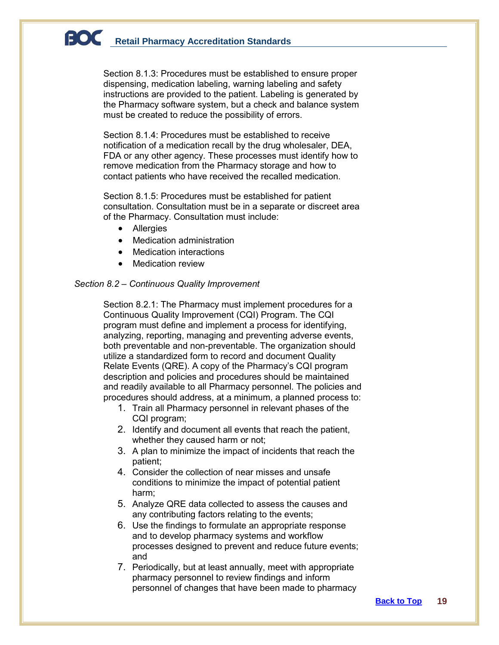Section 8.1.3: Procedures must be established to ensure proper dispensing, medication labeling, warning labeling and safety instructions are provided to the patient. Labeling is generated by the Pharmacy software system, but a check and balance system must be created to reduce the possibility of errors.

Section 8.1.4: Procedures must be established to receive notification of a medication recall by the drug wholesaler, DEA, FDA or any other agency. These processes must identify how to remove medication from the Pharmacy storage and how to contact patients who have received the recalled medication.

Section 8.1.5: Procedures must be established for patient consultation. Consultation must be in a separate or discreet area of the Pharmacy. Consultation must include:

- Allergies
- Medication administration
- Medication interactions
- **Medication review**

### *Section 8.2 – Continuous Quality Improvement*

Section 8.2.1: The Pharmacy must implement procedures for a Continuous Quality Improvement (CQI) Program. The CQI program must define and implement a process for identifying, analyzing, reporting, managing and preventing adverse events, both preventable and non-preventable. The organization should utilize a standardized form to record and document Quality Relate Events (QRE). A copy of the Pharmacy's CQI program description and policies and procedures should be maintained and readily available to all Pharmacy personnel. The policies and procedures should address, at a minimum, a planned process to:

- 1. Train all Pharmacy personnel in relevant phases of the CQI program;
- 2. Identify and document all events that reach the patient, whether they caused harm or not;
- 3. A plan to minimize the impact of incidents that reach the patient;
- 4. Consider the collection of near misses and unsafe conditions to minimize the impact of potential patient harm;
- 5. Analyze QRE data collected to assess the causes and any contributing factors relating to the events;
- 6. Use the findings to formulate an appropriate response and to develop pharmacy systems and workflow processes designed to prevent and reduce future events; and
- 7. Periodically, but at least annually, meet with appropriate pharmacy personnel to review findings and inform personnel of changes that have been made to pharmacy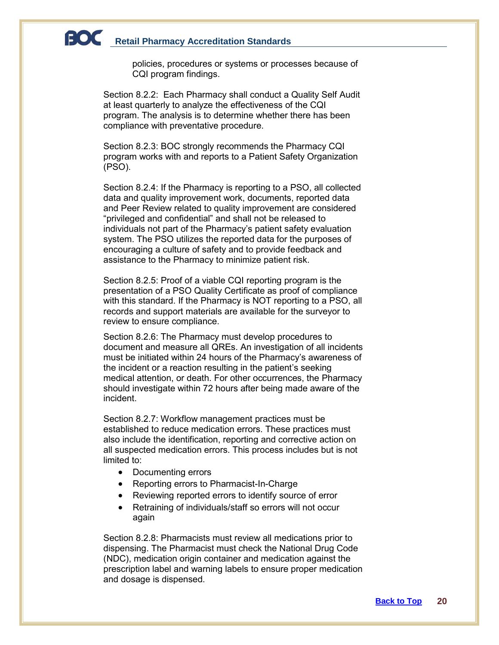policies, procedures or systems or processes because of CQI program findings.

Section 8.2.2: Each Pharmacy shall conduct a Quality Self Audit at least quarterly to analyze the effectiveness of the CQI program. The analysis is to determine whether there has been compliance with preventative procedure.

Section 8.2.3: BOC strongly recommends the Pharmacy CQI program works with and reports to a Patient Safety Organization (PSO).

Section 8.2.4: If the Pharmacy is reporting to a PSO, all collected data and quality improvement work, documents, reported data and Peer Review related to quality improvement are considered "privileged and confidential" and shall not be released to individuals not part of the Pharmacy's patient safety evaluation system. The PSO utilizes the reported data for the purposes of encouraging a culture of safety and to provide feedback and assistance to the Pharmacy to minimize patient risk.

Section 8.2.5: Proof of a viable CQI reporting program is the presentation of a PSO Quality Certificate as proof of compliance with this standard. If the Pharmacy is NOT reporting to a PSO, all records and support materials are available for the surveyor to review to ensure compliance.

Section 8.2.6: The Pharmacy must develop procedures to document and measure all QREs. An investigation of all incidents must be initiated within 24 hours of the Pharmacy's awareness of the incident or a reaction resulting in the patient's seeking medical attention, or death. For other occurrences, the Pharmacy should investigate within 72 hours after being made aware of the incident.

Section 8.2.7: Workflow management practices must be established to reduce medication errors. These practices must also include the identification, reporting and corrective action on all suspected medication errors. This process includes but is not limited to:

- Documenting errors
- Reporting errors to Pharmacist-In-Charge
- Reviewing reported errors to identify source of error
- Retraining of individuals/staff so errors will not occur again

Section 8.2.8: Pharmacists must review all medications prior to dispensing. The Pharmacist must check the National Drug Code (NDC), medication origin container and medication against the prescription label and warning labels to ensure proper medication and dosage is dispensed.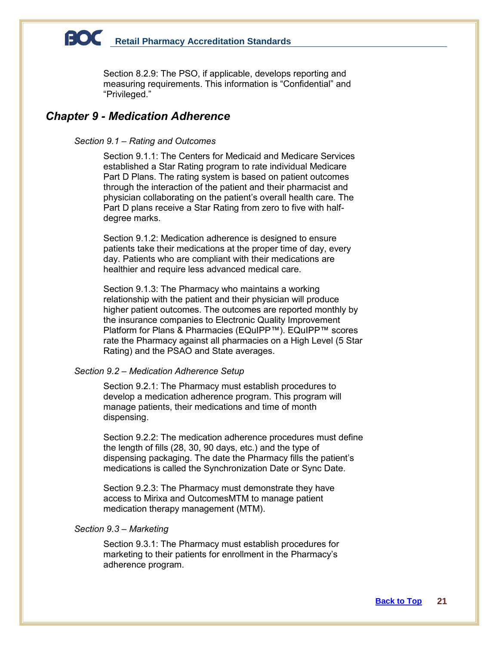Section 8.2.9: The PSO, if applicable, develops reporting and measuring requirements. This information is "Confidential" and "Privileged."

### *Chapter 9 - Medication Adherence*

### *Section 9.1 – Rating and Outcomes*

Section 9.1.1: The Centers for Medicaid and Medicare Services established a Star Rating program to rate individual Medicare Part D Plans. The rating system is based on patient outcomes through the interaction of the patient and their pharmacist and physician collaborating on the patient's overall health care. The Part D plans receive a Star Rating from zero to five with halfdegree marks.

Section 9.1.2: Medication adherence is designed to ensure patients take their medications at the proper time of day, every day. Patients who are compliant with their medications are healthier and require less advanced medical care.

Section 9.1.3: The Pharmacy who maintains a working relationship with the patient and their physician will produce higher patient outcomes. The outcomes are reported monthly by the insurance companies to Electronic Quality Improvement Platform for Plans & Pharmacies (EQuIPP™). EQuIPP™ scores rate the Pharmacy against all pharmacies on a High Level (5 Star Rating) and the PSAO and State averages.

### *Section 9.2 – Medication Adherence Setup*

Section 9.2.1: The Pharmacy must establish procedures to develop a medication adherence program. This program will manage patients, their medications and time of month dispensing.

Section 9.2.2: The medication adherence procedures must define the length of fills (28, 30, 90 days, etc.) and the type of dispensing packaging. The date the Pharmacy fills the patient's medications is called the Synchronization Date or Sync Date.

Section 9.2.3: The Pharmacy must demonstrate they have access to Mirixa and OutcomesMTM to manage patient medication therapy management (MTM).

### *Section 9.3 – Marketing*

Section 9.3.1: The Pharmacy must establish procedures for marketing to their patients for enrollment in the Pharmacy's adherence program.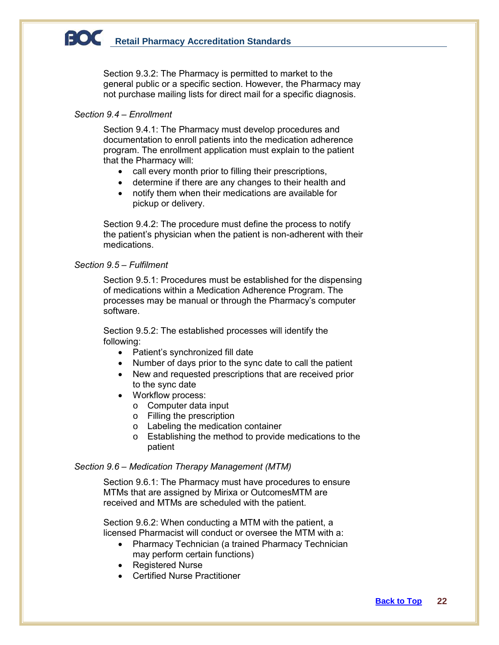Section 9.3.2: The Pharmacy is permitted to market to the general public or a specific section. However, the Pharmacy may not purchase mailing lists for direct mail for a specific diagnosis.

### *Section 9.4 – Enrollment*

Section 9.4.1: The Pharmacy must develop procedures and documentation to enroll patients into the medication adherence program. The enrollment application must explain to the patient that the Pharmacy will:

- call every month prior to filling their prescriptions,
- determine if there are any changes to their health and
- notify them when their medications are available for pickup or delivery.

Section 9.4.2: The procedure must define the process to notify the patient's physician when the patient is non-adherent with their medications.

### *Section 9.5 – Fulfilment*

Section 9.5.1: Procedures must be established for the dispensing of medications within a Medication Adherence Program. The processes may be manual or through the Pharmacy's computer software.

Section 9.5.2: The established processes will identify the following:

- Patient's synchronized fill date
- Number of days prior to the sync date to call the patient
- New and requested prescriptions that are received prior to the sync date
- Workflow process:
	- o Computer data input
	- o Filling the prescription
	- o Labeling the medication container
	- o Establishing the method to provide medications to the patient

#### *Section 9.6 – Medication Therapy Management (MTM)*

Section 9.6.1: The Pharmacy must have procedures to ensure MTMs that are assigned by Mirixa or OutcomesMTM are received and MTMs are scheduled with the patient.

Section 9.6.2: When conducting a MTM with the patient, a licensed Pharmacist will conduct or oversee the MTM with a:

- Pharmacy Technician (a trained Pharmacy Technician may perform certain functions)
- Registered Nurse
- Certified Nurse Practitioner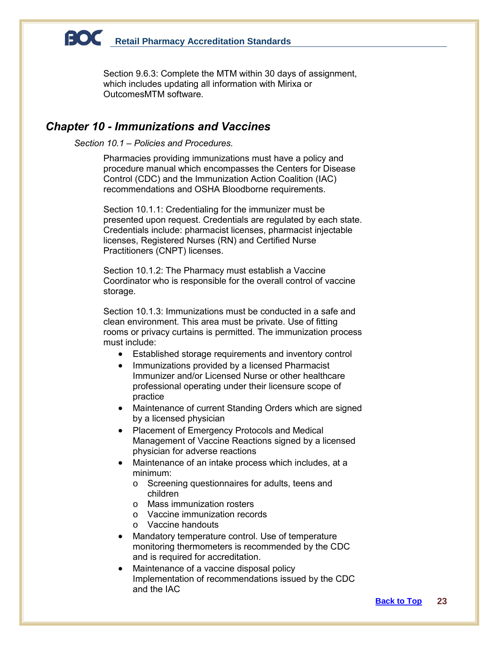Section 9.6.3: Complete the MTM within 30 days of assignment, which includes updating all information with Mirixa or OutcomesMTM software.

### *Chapter 10 - Immunizations and Vaccines*

*Section 10.1 – Policies and Procedures.* 

Pharmacies providing immunizations must have a policy and procedure manual which encompasses the Centers for Disease Control (CDC) and the Immunization Action Coalition (IAC) recommendations and OSHA Bloodborne requirements.

Section 10.1.1: Credentialing for the immunizer must be presented upon request. Credentials are regulated by each state. Credentials include: pharmacist licenses, pharmacist injectable licenses, Registered Nurses (RN) and Certified Nurse Practitioners (CNPT) licenses.

Section 10.1.2: The Pharmacy must establish a Vaccine Coordinator who is responsible for the overall control of vaccine storage.

Section 10.1.3: Immunizations must be conducted in a safe and clean environment. This area must be private. Use of fitting rooms or privacy curtains is permitted. The immunization process must include:

- Established storage requirements and inventory control
- Immunizations provided by a licensed Pharmacist Immunizer and/or Licensed Nurse or other healthcare professional operating under their licensure scope of practice
- Maintenance of current Standing Orders which are signed by a licensed physician
- Placement of Emergency Protocols and Medical Management of Vaccine Reactions signed by a licensed physician for adverse reactions
- Maintenance of an intake process which includes, at a minimum:
	- o Screening questionnaires for adults, teens and children
	- o Mass immunization rosters
	- o Vaccine immunization records
	- o Vaccine handouts
- Mandatory temperature control. Use of temperature monitoring thermometers is recommended by the CDC and is required for accreditation.
- Maintenance of a vaccine disposal policy Implementation of recommendations issued by the CDC and the IAC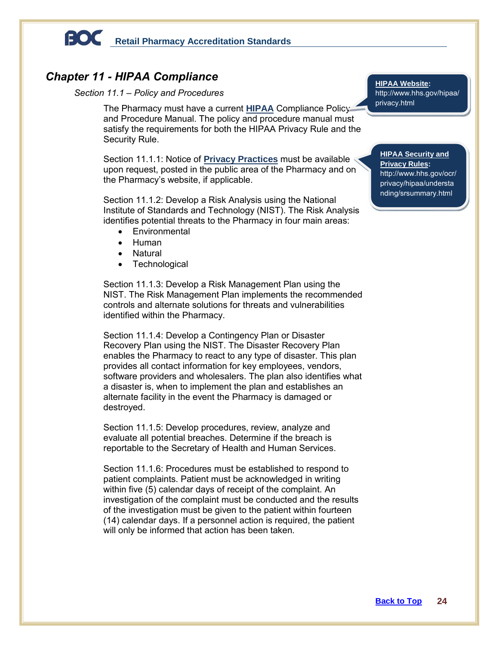

### *Chapter 11 - HIPAA Compliance*

### *Section 11.1 – Policy and Procedures*

The Pharmacy must have a current **HIPAA** Compliance Policy and Procedure Manual. The policy and procedure manual must satisfy the requirements for both the HIPAA Privacy Rule and the Security Rule.

Section 11.1.1: Notice of **Privacy Practices** must be available Section 11.1.1: Notice of **Privacy Practices** must be available **HIPAA Security and Privacy Rules:**<br>upon request, posted in the public area of the Pharmacy and on **Privacy Rules:** the Pharmacy's website, if applicable.

Section 11.1.2: Develop a Risk Analysis using the National Institute of Standards and Technology (NIST). The Risk Analysis identifies potential threats to the Pharmacy in four main areas:

- **Environmental**
- Human
- Natural
- **Technological**

Section 11.1.3: Develop a Risk Management Plan using the NIST. The Risk Management Plan implements the recommended controls and alternate solutions for threats and vulnerabilities identified within the Pharmacy.

Section 11.1.4: Develop a Contingency Plan or Disaster Recovery Plan using the NIST. The Disaster Recovery Plan enables the Pharmacy to react to any type of disaster. This plan provides all contact information for key employees, vendors, software providers and wholesalers. The plan also identifies what a disaster is, when to implement the plan and establishes an alternate facility in the event the Pharmacy is damaged or destroyed.

Section 11.1.5: Develop procedures, review, analyze and evaluate all potential breaches. Determine if the breach is reportable to the Secretary of Health and Human Services.

Section 11.1.6: Procedures must be established to respond to patient complaints. Patient must be acknowledged in writing within five (5) calendar days of receipt of the complaint. An investigation of the complaint must be conducted and the results of the investigation must be given to the patient within fourteen (14) calendar days. If a personnel action is required, the patient will only be informed that action has been taken.

**HIPAA Website:** [http://www.hhs.gov/hipaa/](http://www.hhs.gov/hipaa/privacy.html) [privacy.html](http://www.hhs.gov/hipaa/privacy.html)

### **Privacy Rules:** http://www.hhs.gov/ocr/ privacy/hipaa/understa nding/srsummary.html